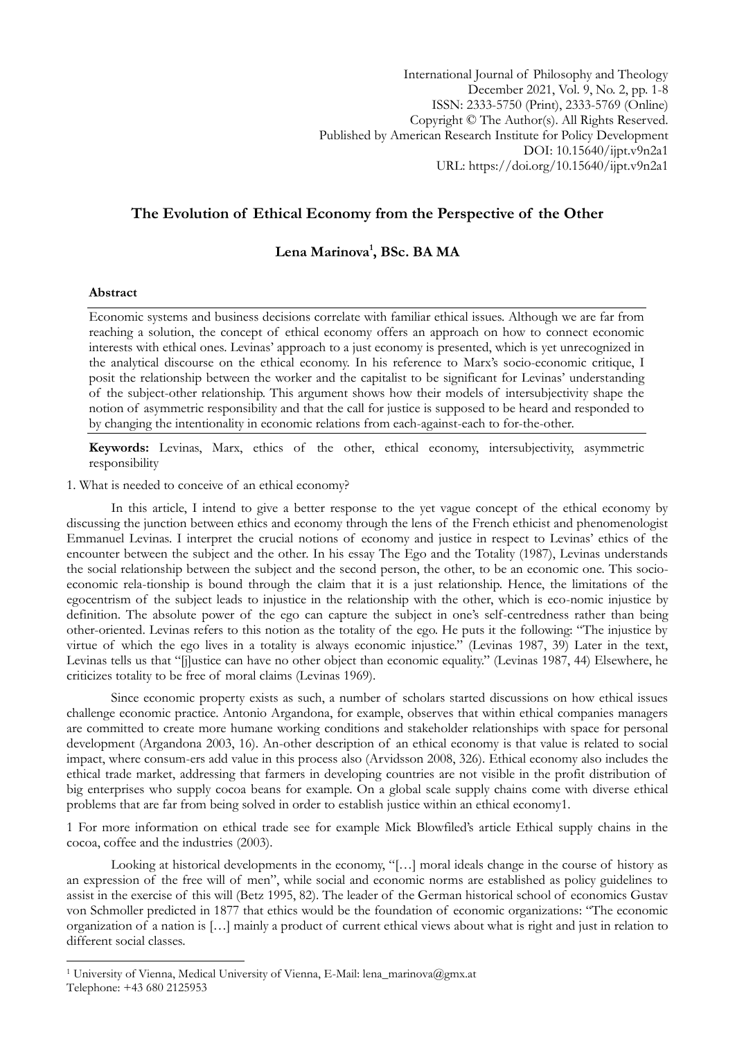International Journal of Philosophy and Theology December 2021, Vol. 9, No. 2, pp. 1-8 ISSN: 2333-5750 (Print), 2333-5769 (Online) Copyright © The Author(s). All Rights Reserved. Published by American Research Institute for Policy Development DOI: 10.15640/ijpt.v9n2a1 URL: https://doi.org/10.15640/ijpt.v9n2a1

## **The Evolution of Ethical Economy from the Perspective of the Other**

# **Lena Marinova<sup>1</sup> , BSc. BA MA**

### **Abstract**

1

Economic systems and business decisions correlate with familiar ethical issues. Although we are far from reaching a solution, the concept of ethical economy offers an approach on how to connect economic interests with ethical ones. Levinas" approach to a just economy is presented, which is yet unrecognized in the analytical discourse on the ethical economy. In his reference to Marx"s socio-economic critique, I posit the relationship between the worker and the capitalist to be significant for Levinas' understanding of the subject-other relationship. This argument shows how their models of intersubjectivity shape the notion of asymmetric responsibility and that the call for justice is supposed to be heard and responded to by changing the intentionality in economic relations from each-against-each to for-the-other.

**Keywords:** Levinas, Marx, ethics of the other, ethical economy, intersubjectivity, asymmetric responsibility

1. What is needed to conceive of an ethical economy?

In this article, I intend to give a better response to the yet vague concept of the ethical economy by discussing the junction between ethics and economy through the lens of the French ethicist and phenomenologist Emmanuel Levinas. I interpret the crucial notions of economy and justice in respect to Levinas" ethics of the encounter between the subject and the other. In his essay The Ego and the Totality (1987), Levinas understands the social relationship between the subject and the second person, the other, to be an economic one. This socioeconomic rela-tionship is bound through the claim that it is a just relationship. Hence, the limitations of the egocentrism of the subject leads to injustice in the relationship with the other, which is eco-nomic injustice by definition. The absolute power of the ego can capture the subject in one's self-centredness rather than being other-oriented. Levinas refers to this notion as the totality of the ego. He puts it the following: "The injustice by virtue of which the ego lives in a totality is always economic injustice." (Levinas 1987, 39) Later in the text, Levinas tells us that "[j]ustice can have no other object than economic equality." (Levinas 1987, 44) Elsewhere, he criticizes totality to be free of moral claims (Levinas 1969).

Since economic property exists as such, a number of scholars started discussions on how ethical issues challenge economic practice. Antonio Argandona, for example, observes that within ethical companies managers are committed to create more humane working conditions and stakeholder relationships with space for personal development (Argandona 2003, 16). An-other description of an ethical economy is that value is related to social impact, where consum-ers add value in this process also (Arvidsson 2008, 326). Ethical economy also includes the ethical trade market, addressing that farmers in developing countries are not visible in the profit distribution of big enterprises who supply cocoa beans for example. On a global scale supply chains come with diverse ethical problems that are far from being solved in order to establish justice within an ethical economy1.

1 For more information on ethical trade see for example Mick Blowfiled"s article Ethical supply chains in the cocoa, coffee and the industries (2003).

Looking at historical developments in the economy, "[…] moral ideals change in the course of history as an expression of the free will of men", while social and economic norms are established as policy guidelines to assist in the exercise of this will (Betz 1995, 82). The leader of the German historical school of economics Gustav von Schmoller predicted in 1877 that ethics would be the foundation of economic organizations: "The economic organization of a nation is […] mainly a product of current ethical views about what is right and just in relation to different social classes.

<sup>1</sup> University of Vienna, Medical University of Vienna, E-Mail: lena\_marinova@gmx.at Telephone: +43 680 2125953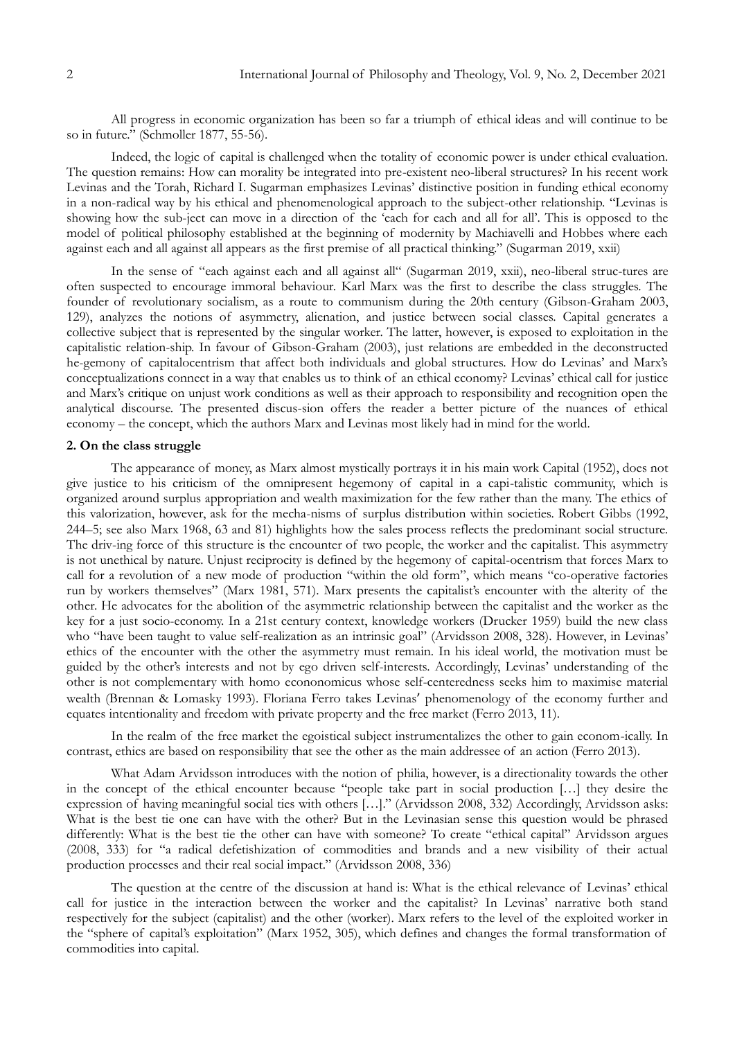All progress in economic organization has been so far a triumph of ethical ideas and will continue to be so in future." (Schmoller 1877, 55-56).

Indeed, the logic of capital is challenged when the totality of economic power is under ethical evaluation. The question remains: How can morality be integrated into pre-existent neo-liberal structures? In his recent work Levinas and the Torah, Richard I. Sugarman emphasizes Levinas" distinctive position in funding ethical economy in a non-radical way by his ethical and phenomenological approach to the subject-other relationship. "Levinas is showing how the sub-ject can move in a direction of the "each for each and all for all". This is opposed to the model of political philosophy established at the beginning of modernity by Machiavelli and Hobbes where each against each and all against all appears as the first premise of all practical thinking." (Sugarman 2019, xxii)

In the sense of "each against each and all against all" (Sugarman 2019, xxii), neo-liberal struc-tures are often suspected to encourage immoral behaviour. Karl Marx was the first to describe the class struggles. The founder of revolutionary socialism, as a route to communism during the 20th century (Gibson-Graham 2003, 129), analyzes the notions of asymmetry, alienation, and justice between social classes. Capital generates a collective subject that is represented by the singular worker. The latter, however, is exposed to exploitation in the capitalistic relation-ship. In favour of Gibson-Graham (2003), just relations are embedded in the deconstructed he-gemony of capitalocentrism that affect both individuals and global structures. How do Levinas' and Marx's conceptualizations connect in a way that enables us to think of an ethical economy? Levinas' ethical call for justice and Marx"s critique on unjust work conditions as well as their approach to responsibility and recognition open the analytical discourse. The presented discus-sion offers the reader a better picture of the nuances of ethical economy – the concept, which the authors Marx and Levinas most likely had in mind for the world.

#### **2. On the class struggle**

The appearance of money, as Marx almost mystically portrays it in his main work Capital (1952), does not give justice to his criticism of the omnipresent hegemony of capital in a capi-talistic community, which is organized around surplus appropriation and wealth maximization for the few rather than the many. The ethics of this valorization, however, ask for the mecha-nisms of surplus distribution within societies. Robert Gibbs (1992, 244–5; see also Marx 1968, 63 and 81) highlights how the sales process reflects the predominant social structure. The driv-ing force of this structure is the encounter of two people, the worker and the capitalist. This asymmetry is not unethical by nature. Unjust reciprocity is defined by the hegemony of capital-ocentrism that forces Marx to call for a revolution of a new mode of production "within the old form", which means "co-operative factories run by workers themselves" (Marx 1981, 571). Marx presents the capitalist's encounter with the alterity of the other. He advocates for the abolition of the asymmetric relationship between the capitalist and the worker as the key for a just socio-economy. In a 21st century context, knowledge workers (Drucker 1959) build the new class who "have been taught to value self-realization as an intrinsic goal" (Arvidsson 2008, 328). However, in Levinas' ethics of the encounter with the other the asymmetry must remain. In his ideal world, the motivation must be guided by the other's interests and not by ego driven self-interests. Accordingly, Levinas' understanding of the other is not complementary with homo econonomicus whose self-centeredness seeks him to maximise material wealth (Brennan & Lomasky 1993). Floriana Ferro takes Levinas' phenomenology of the economy further and equates intentionality and freedom with private property and the free market (Ferro 2013, 11).

In the realm of the free market the egoistical subject instrumentalizes the other to gain econom-ically. In contrast, ethics are based on responsibility that see the other as the main addressee of an action (Ferro 2013).

What Adam Arvidsson introduces with the notion of philia, however, is a directionality towards the other in the concept of the ethical encounter because "people take part in social production […] they desire the expression of having meaningful social ties with others […]." (Arvidsson 2008, 332) Accordingly, Arvidsson asks: What is the best tie one can have with the other? But in the Levinasian sense this question would be phrased differently: What is the best tie the other can have with someone? To create "ethical capital" Arvidsson argues (2008, 333) for "a radical defetishization of commodities and brands and a new visibility of their actual production processes and their real social impact." (Arvidsson 2008, 336)

The question at the centre of the discussion at hand is: What is the ethical relevance of Levinas' ethical call for justice in the interaction between the worker and the capitalist? In Levinas" narrative both stand respectively for the subject (capitalist) and the other (worker). Marx refers to the level of the exploited worker in the "sphere of capital's exploitation" (Marx 1952, 305), which defines and changes the formal transformation of commodities into capital.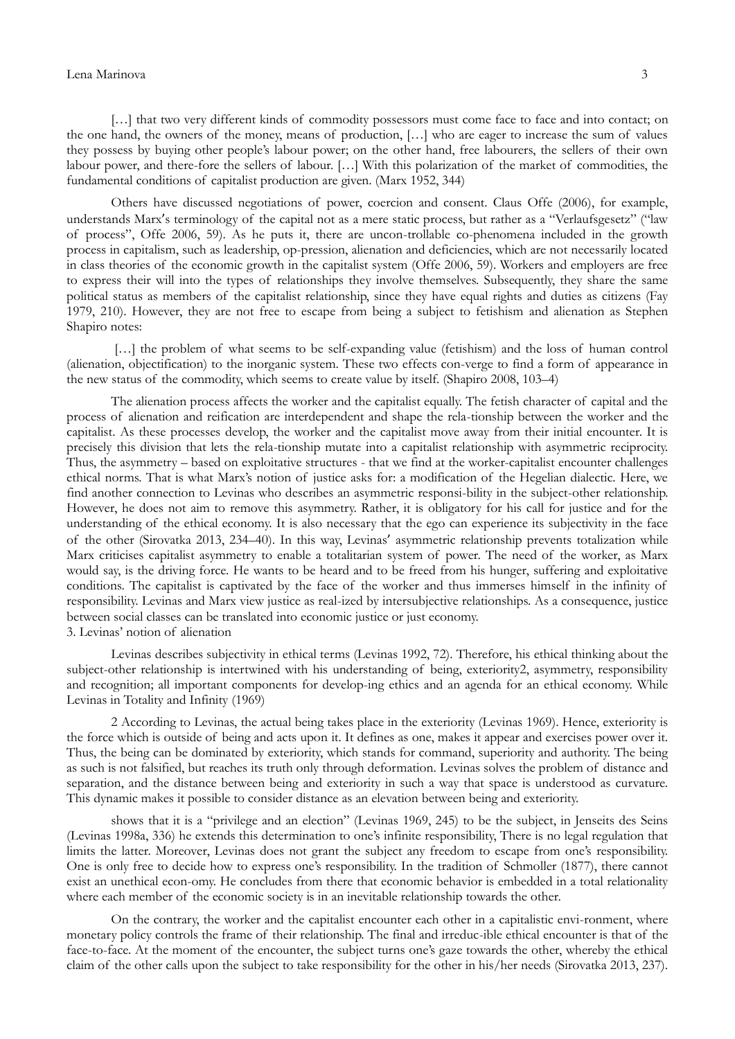#### Lena Marinova 3

[...] that two very different kinds of commodity possessors must come face to face and into contact; on the one hand, the owners of the money, means of production, […] who are eager to increase the sum of values they possess by buying other people's labour power; on the other hand, free labourers, the sellers of their own labour power, and there-fore the sellers of labour. […] With this polarization of the market of commodities, the fundamental conditions of capitalist production are given. (Marx 1952, 344)

Others have discussed negotiations of power, coercion and consent. Claus Offe (2006), for example, understands Marx's terminology of the capital not as a mere static process, but rather as a "Verlaufsgesetz" ("law of process", Offe 2006, 59). As he puts it, there are uncon-trollable co-phenomena included in the growth process in capitalism, such as leadership, op-pression, alienation and deficiencies, which are not necessarily located in class theories of the economic growth in the capitalist system (Offe 2006, 59). Workers and employers are free to express their will into the types of relationships they involve themselves. Subsequently, they share the same political status as members of the capitalist relationship, since they have equal rights and duties as citizens (Fay 1979, 210). However, they are not free to escape from being a subject to fetishism and alienation as Stephen Shapiro notes:

[...] the problem of what seems to be self-expanding value (fetishism) and the loss of human control (alienation, objectification) to the inorganic system. These two effects con-verge to find a form of appearance in the new status of the commodity, which seems to create value by itself. (Shapiro 2008, 103–4)

The alienation process affects the worker and the capitalist equally. The fetish character of capital and the process of alienation and reification are interdependent and shape the rela-tionship between the worker and the capitalist. As these processes develop, the worker and the capitalist move away from their initial encounter. It is precisely this division that lets the rela-tionship mutate into a capitalist relationship with asymmetric reciprocity. Thus, the asymmetry – based on exploitative structures - that we find at the worker-capitalist encounter challenges ethical norms. That is what Marx"s notion of justice asks for: a modification of the Hegelian dialectic. Here, we find another connection to Levinas who describes an asymmetric responsi-bility in the subject-other relationship. However, he does not aim to remove this asymmetry. Rather, it is obligatory for his call for justice and for the understanding of the ethical economy. It is also necessary that the ego can experience its subjectivity in the face of the other (Sirovatka 2013, 234–40). In this way, Levinas' asymmetric relationship prevents totalization while Marx criticises capitalist asymmetry to enable a totalitarian system of power. The need of the worker, as Marx would say, is the driving force. He wants to be heard and to be freed from his hunger, suffering and exploitative conditions. The capitalist is captivated by the face of the worker and thus immerses himself in the infinity of responsibility. Levinas and Marx view justice as real-ized by intersubjective relationships. As a consequence, justice between social classes can be translated into economic justice or just economy. 3. Levinas" notion of alienation

Levinas describes subjectivity in ethical terms (Levinas 1992, 72). Therefore, his ethical thinking about the subject-other relationship is intertwined with his understanding of being, exteriority2, asymmetry, responsibility and recognition; all important components for develop-ing ethics and an agenda for an ethical economy. While Levinas in Totality and Infinity (1969)

2 According to Levinas, the actual being takes place in the exteriority (Levinas 1969). Hence, exteriority is the force which is outside of being and acts upon it. It defines as one, makes it appear and exercises power over it. Thus, the being can be dominated by exteriority, which stands for command, superiority and authority. The being as such is not falsified, but reaches its truth only through deformation. Levinas solves the problem of distance and separation, and the distance between being and exteriority in such a way that space is understood as curvature. This dynamic makes it possible to consider distance as an elevation between being and exteriority.

shows that it is a "privilege and an election" (Levinas 1969, 245) to be the subject, in Jenseits des Seins (Levinas 1998a, 336) he extends this determination to one's infinite responsibility, There is no legal regulation that limits the latter. Moreover, Levinas does not grant the subject any freedom to escape from one's responsibility. One is only free to decide how to express one"s responsibility. In the tradition of Schmoller (1877), there cannot exist an unethical econ-omy. He concludes from there that economic behavior is embedded in a total relationality where each member of the economic society is in an inevitable relationship towards the other.

On the contrary, the worker and the capitalist encounter each other in a capitalistic envi-ronment, where monetary policy controls the frame of their relationship. The final and irreduc-ible ethical encounter is that of the face-to-face. At the moment of the encounter, the subject turns one's gaze towards the other, whereby the ethical claim of the other calls upon the subject to take responsibility for the other in his/her needs (Sirovatka 2013, 237).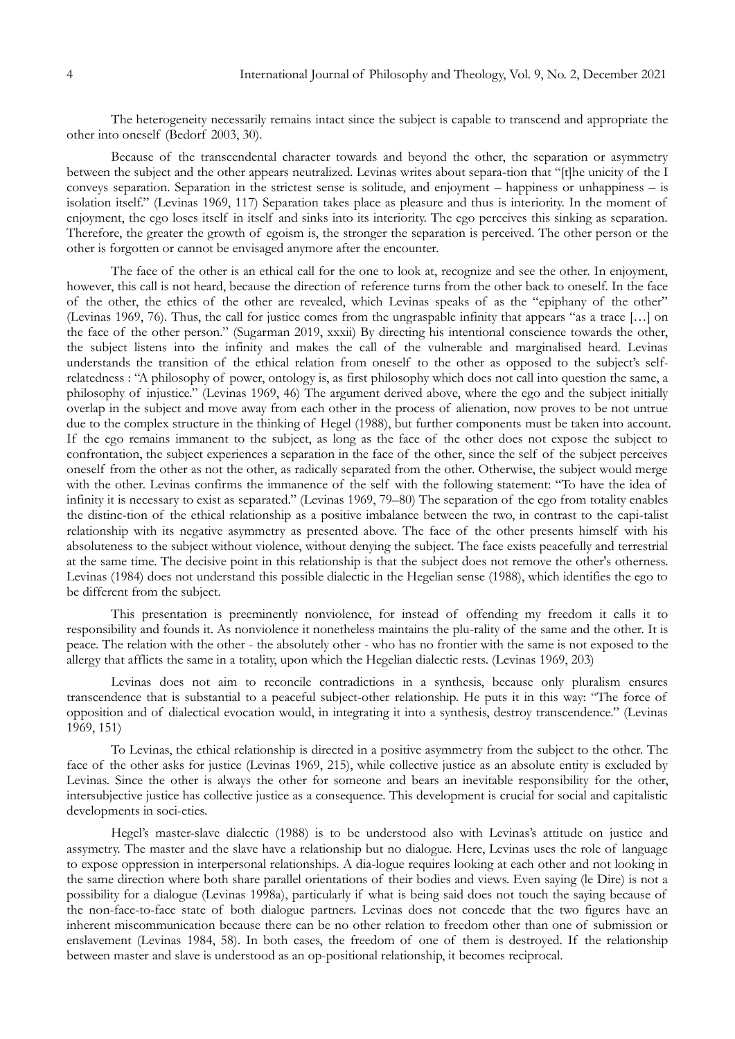The heterogeneity necessarily remains intact since the subject is capable to transcend and appropriate the other into oneself (Bedorf 2003, 30).

Because of the transcendental character towards and beyond the other, the separation or asymmetry between the subject and the other appears neutralized. Levinas writes about separa-tion that "[t]he unicity of the I conveys separation. Separation in the strictest sense is solitude, and enjoyment – happiness or unhappiness – is isolation itself." (Levinas 1969, 117) Separation takes place as pleasure and thus is interiority. In the moment of enjoyment, the ego loses itself in itself and sinks into its interiority. The ego perceives this sinking as separation. Therefore, the greater the growth of egoism is, the stronger the separation is perceived. The other person or the other is forgotten or cannot be envisaged anymore after the encounter.

The face of the other is an ethical call for the one to look at, recognize and see the other. In enjoyment, however, this call is not heard, because the direction of reference turns from the other back to oneself. In the face of the other, the ethics of the other are revealed, which Levinas speaks of as the "epiphany of the other" (Levinas 1969, 76). Thus, the call for justice comes from the ungraspable infinity that appears "as a trace […] on the face of the other person." (Sugarman 2019, xxxii) By directing his intentional conscience towards the other, the subject listens into the infinity and makes the call of the vulnerable and marginalised heard. Levinas understands the transition of the ethical relation from oneself to the other as opposed to the subject's selfrelatedness : "A philosophy of power, ontology is, as first philosophy which does not call into question the same, a philosophy of injustice." (Levinas 1969, 46) The argument derived above, where the ego and the subject initially overlap in the subject and move away from each other in the process of alienation, now proves to be not untrue due to the complex structure in the thinking of Hegel (1988), but further components must be taken into account. If the ego remains immanent to the subject, as long as the face of the other does not expose the subject to confrontation, the subject experiences a separation in the face of the other, since the self of the subject perceives oneself from the other as not the other, as radically separated from the other. Otherwise, the subject would merge with the other. Levinas confirms the immanence of the self with the following statement: "To have the idea of infinity it is necessary to exist as separated." (Levinas 1969, 79–80) The separation of the ego from totality enables the distinc-tion of the ethical relationship as a positive imbalance between the two, in contrast to the capi-talist relationship with its negative asymmetry as presented above. The face of the other presents himself with his absoluteness to the subject without violence, without denying the subject. The face exists peacefully and terrestrial at the same time. The decisive point in this relationship is that the subject does not remove the other's otherness. Levinas (1984) does not understand this possible dialectic in the Hegelian sense (1988), which identifies the ego to be different from the subject.

This presentation is preeminently nonviolence, for instead of offending my freedom it calls it to responsibility and founds it. As nonviolence it nonetheless maintains the plu-rality of the same and the other. It is peace. The relation with the other - the absolutely other - who has no frontier with the same is not exposed to the allergy that afflicts the same in a totality, upon which the Hegelian dialectic rests. (Levinas 1969, 203)

Levinas does not aim to reconcile contradictions in a synthesis, because only pluralism ensures transcendence that is substantial to a peaceful subject-other relationship. He puts it in this way: "The force of opposition and of dialectical evocation would, in integrating it into a synthesis, destroy transcendence." (Levinas 1969, 151)

To Levinas, the ethical relationship is directed in a positive asymmetry from the subject to the other. The face of the other asks for justice (Levinas 1969, 215), while collective justice as an absolute entity is excluded by Levinas. Since the other is always the other for someone and bears an inevitable responsibility for the other, intersubjective justice has collective justice as a consequence. This development is crucial for social and capitalistic developments in soci-eties.

Hegel's master-slave dialectic (1988) is to be understood also with Levinas's attitude on justice and assymetry. The master and the slave have a relationship but no dialogue. Here, Levinas uses the role of language to expose oppression in interpersonal relationships. A dia-logue requires looking at each other and not looking in the same direction where both share parallel orientations of their bodies and views. Even saying (le Dire) is not a possibility for a dialogue (Levinas 1998a), particularly if what is being said does not touch the saying because of the non-face-to-face state of both dialogue partners. Levinas does not concede that the two figures have an inherent miscommunication because there can be no other relation to freedom other than one of submission or enslavement (Levinas 1984, 58). In both cases, the freedom of one of them is destroyed. If the relationship between master and slave is understood as an op-positional relationship, it becomes reciprocal.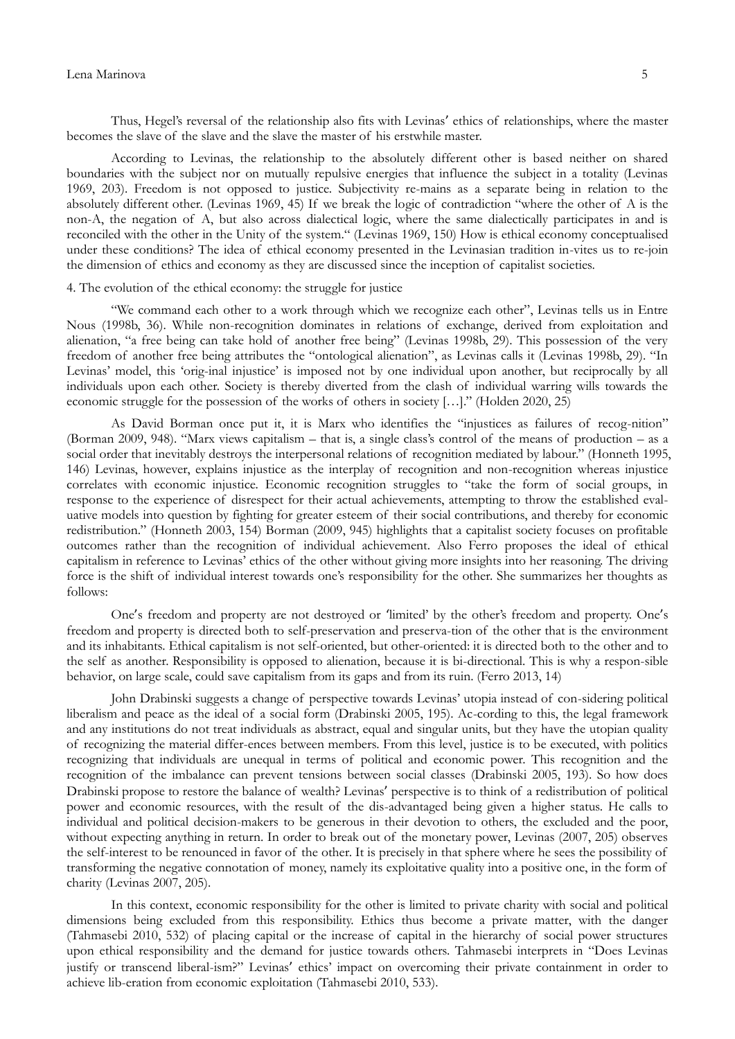#### Lena Marinova 5

Thus, Hegel's reversal of the relationship also fits with Levinas' ethics of relationships, where the master becomes the slave of the slave and the slave the master of his erstwhile master.

According to Levinas, the relationship to the absolutely different other is based neither on shared boundaries with the subject nor on mutually repulsive energies that influence the subject in a totality (Levinas 1969, 203). Freedom is not opposed to justice. Subjectivity re-mains as a separate being in relation to the absolutely different other. (Levinas 1969, 45) If we break the logic of contradiction "where the other of A is the non-A, the negation of A, but also across dialectical logic, where the same dialectically participates in and is reconciled with the other in the Unity of the system." (Levinas 1969, 150) How is ethical economy conceptualised under these conditions? The idea of ethical economy presented in the Levinasian tradition in-vites us to re-join the dimension of ethics and economy as they are discussed since the inception of capitalist societies.

#### 4. The evolution of the ethical economy: the struggle for justice

"We command each other to a work through which we recognize each other", Levinas tells us in Entre Nous (1998b, 36). While non-recognition dominates in relations of exchange, derived from exploitation and alienation, "a free being can take hold of another free being" (Levinas 1998b, 29). This possession of the very freedom of another free being attributes the "ontological alienation", as Levinas calls it (Levinas 1998b, 29). "In Levinas' model, this 'orig-inal injustice' is imposed not by one individual upon another, but reciprocally by all individuals upon each other. Society is thereby diverted from the clash of individual warring wills towards the economic struggle for the possession of the works of others in society […]." (Holden 2020, 25)

As David Borman once put it, it is Marx who identifies the "injustices as failures of recog-nition" (Borman 2009, 948). "Marx views capitalism – that is, a single class"s control of the means of production – as a social order that inevitably destroys the interpersonal relations of recognition mediated by labour." (Honneth 1995, 146) Levinas, however, explains injustice as the interplay of recognition and non-recognition whereas injustice correlates with economic injustice. Economic recognition struggles to "take the form of social groups, in response to the experience of disrespect for their actual achievements, attempting to throw the established evaluative models into question by fighting for greater esteem of their social contributions, and thereby for economic redistribution." (Honneth 2003, 154) Borman (2009, 945) highlights that a capitalist society focuses on profitable outcomes rather than the recognition of individual achievement. Also Ferro proposes the ideal of ethical capitalism in reference to Levinas" ethics of the other without giving more insights into her reasoning. The driving force is the shift of individual interest towards one's responsibility for the other. She summarizes her thoughts as follows:

One's freedom and property are not destroyed or ʻlimited" by the other"s freedom and property. One's freedom and property is directed both to self-preservation and preserva-tion of the other that is the environment and its inhabitants. Ethical capitalism is not self-oriented, but other-oriented: it is directed both to the other and to the self as another. Responsibility is opposed to alienation, because it is bi-directional. This is why a respon-sible behavior, on large scale, could save capitalism from its gaps and from its ruin. (Ferro 2013, 14)

John Drabinski suggests a change of perspective towards Levinas" utopia instead of con-sidering political liberalism and peace as the ideal of a social form (Drabinski 2005, 195). Ac-cording to this, the legal framework and any institutions do not treat individuals as abstract, equal and singular units, but they have the utopian quality of recognizing the material differ-ences between members. From this level, justice is to be executed, with politics recognizing that individuals are unequal in terms of political and economic power. This recognition and the recognition of the imbalance can prevent tensions between social classes (Drabinski 2005, 193). So how does Drabinski propose to restore the balance of wealth? Levinas' perspective is to think of a redistribution of political power and economic resources, with the result of the dis-advantaged being given a higher status. He calls to individual and political decision-makers to be generous in their devotion to others, the excluded and the poor, without expecting anything in return. In order to break out of the monetary power, Levinas (2007, 205) observes the self-interest to be renounced in favor of the other. It is precisely in that sphere where he sees the possibility of transforming the negative connotation of money, namely its exploitative quality into a positive one, in the form of charity (Levinas 2007, 205).

In this context, economic responsibility for the other is limited to private charity with social and political dimensions being excluded from this responsibility. Ethics thus become a private matter, with the danger (Tahmasebi 2010, 532) of placing capital or the increase of capital in the hierarchy of social power structures upon ethical responsibility and the demand for justice towards others. Tahmasebi interprets in "Does Levinas justify or transcend liberal-ism?" Levinas' ethics' impact on overcoming their private containment in order to achieve lib-eration from economic exploitation (Tahmasebi 2010, 533).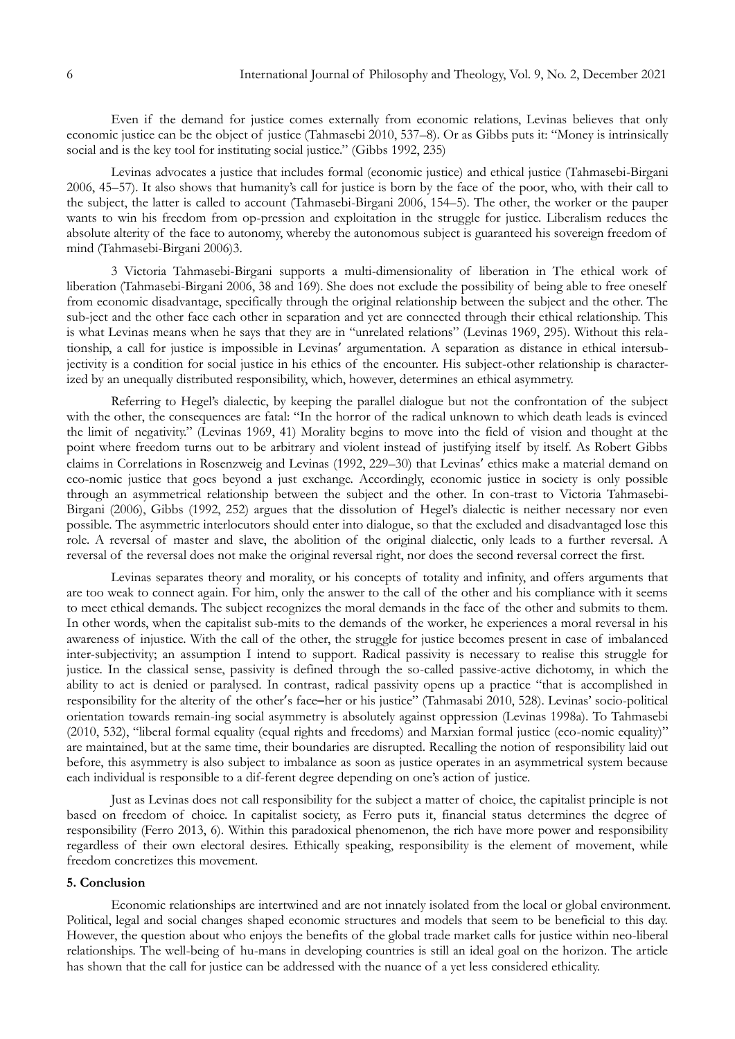Even if the demand for justice comes externally from economic relations, Levinas believes that only economic justice can be the object of justice (Tahmasebi 2010, 537–8). Or as Gibbs puts it: "Money is intrinsically social and is the key tool for instituting social justice." (Gibbs 1992, 235)

Levinas advocates a justice that includes formal (economic justice) and ethical justice (Tahmasebi-Birgani 2006, 45–57). It also shows that humanity"s call for justice is born by the face of the poor, who, with their call to the subject, the latter is called to account (Tahmasebi-Birgani 2006, 154–5). The other, the worker or the pauper wants to win his freedom from op-pression and exploitation in the struggle for justice. Liberalism reduces the absolute alterity of the face to autonomy, whereby the autonomous subject is guaranteed his sovereign freedom of mind (Tahmasebi-Birgani 2006)3.

3 Victoria Tahmasebi-Birgani supports a multi-dimensionality of liberation in The ethical work of liberation (Tahmasebi-Birgani 2006, 38 and 169). She does not exclude the possibility of being able to free oneself from economic disadvantage, specifically through the original relationship between the subject and the other. The sub-ject and the other face each other in separation and yet are connected through their ethical relationship. This is what Levinas means when he says that they are in "unrelated relations" (Levinas 1969, 295). Without this relationship, a call for justice is impossible in Levinas' argumentation. A separation as distance in ethical intersubjectivity is a condition for social justice in his ethics of the encounter. His subject-other relationship is characterized by an unequally distributed responsibility, which, however, determines an ethical asymmetry.

Referring to Hegel's dialectic, by keeping the parallel dialogue but not the confrontation of the subject with the other, the consequences are fatal: "In the horror of the radical unknown to which death leads is evinced the limit of negativity." (Levinas 1969, 41) Morality begins to move into the field of vision and thought at the point where freedom turns out to be arbitrary and violent instead of justifying itself by itself. As Robert Gibbs claims in Correlations in Rosenzweig and Levinas (1992, 229–30) that Levinas' ethics make a material demand on eco-nomic justice that goes beyond a just exchange. Accordingly, economic justice in society is only possible through an asymmetrical relationship between the subject and the other. In con-trast to Victoria Tahmasebi-Birgani (2006), Gibbs (1992, 252) argues that the dissolution of Hegel's dialectic is neither necessary nor even possible. The asymmetric interlocutors should enter into dialogue, so that the excluded and disadvantaged lose this role. A reversal of master and slave, the abolition of the original dialectic, only leads to a further reversal. A reversal of the reversal does not make the original reversal right, nor does the second reversal correct the first.

Levinas separates theory and morality, or his concepts of totality and infinity, and offers arguments that are too weak to connect again. For him, only the answer to the call of the other and his compliance with it seems to meet ethical demands. The subject recognizes the moral demands in the face of the other and submits to them. In other words, when the capitalist sub-mits to the demands of the worker, he experiences a moral reversal in his awareness of injustice. With the call of the other, the struggle for justice becomes present in case of imbalanced inter-subjectivity; an assumption I intend to support. Radical passivity is necessary to realise this struggle for justice. In the classical sense, passivity is defined through the so-called passive-active dichotomy, in which the ability to act is denied or paralysed. In contrast, radical passivity opens up a practice "that is accomplished in responsibility for the alterity of the other's face ̶her or his justice" (Tahmasabi 2010, 528). Levinas" socio-political orientation towards remain-ing social asymmetry is absolutely against oppression (Levinas 1998a). To Tahmasebi (2010, 532), "liberal formal equality (equal rights and freedoms) and Marxian formal justice (eco-nomic equality)" are maintained, but at the same time, their boundaries are disrupted. Recalling the notion of responsibility laid out before, this asymmetry is also subject to imbalance as soon as justice operates in an asymmetrical system because each individual is responsible to a dif-ferent degree depending on one"s action of justice.

Just as Levinas does not call responsibility for the subject a matter of choice, the capitalist principle is not based on freedom of choice. In capitalist society, as Ferro puts it, financial status determines the degree of responsibility (Ferro 2013, 6). Within this paradoxical phenomenon, the rich have more power and responsibility regardless of their own electoral desires. Ethically speaking, responsibility is the element of movement, while freedom concretizes this movement.

## **5. Conclusion**

Economic relationships are intertwined and are not innately isolated from the local or global environment. Political, legal and social changes shaped economic structures and models that seem to be beneficial to this day. However, the question about who enjoys the benefits of the global trade market calls for justice within neo-liberal relationships. The well-being of hu-mans in developing countries is still an ideal goal on the horizon. The article has shown that the call for justice can be addressed with the nuance of a yet less considered ethicality.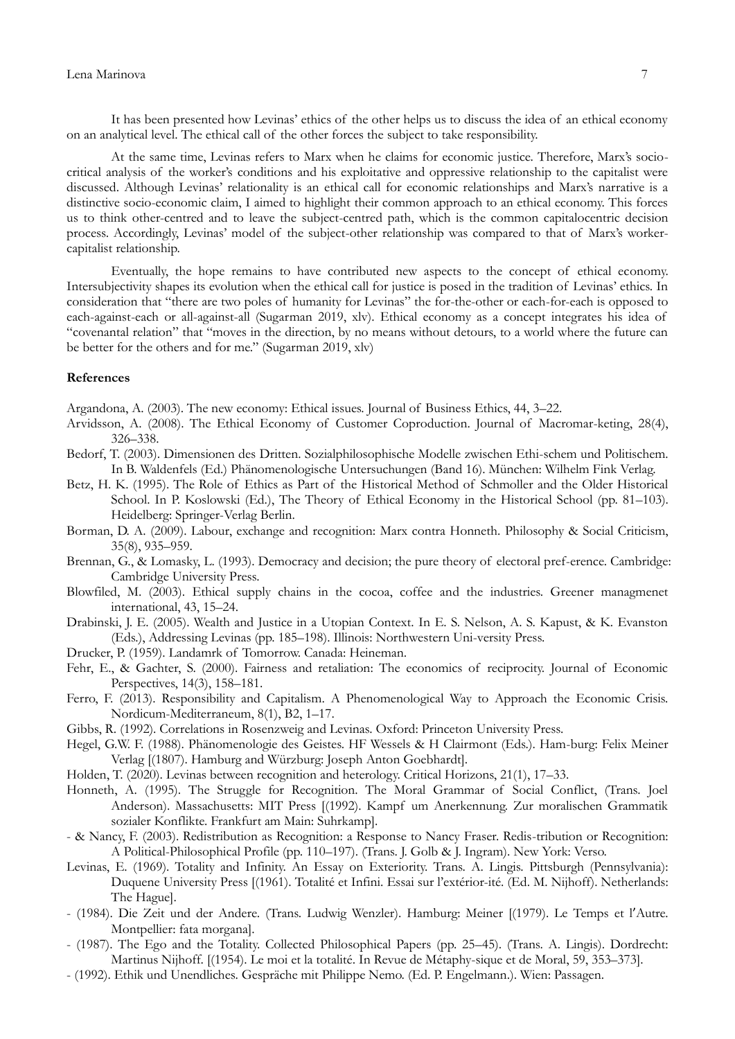It has been presented how Levinas" ethics of the other helps us to discuss the idea of an ethical economy on an analytical level. The ethical call of the other forces the subject to take responsibility.

At the same time, Levinas refers to Marx when he claims for economic justice. Therefore, Marx's sociocritical analysis of the worker"s conditions and his exploitative and oppressive relationship to the capitalist were discussed. Although Levinas' relationality is an ethical call for economic relationships and Marx's narrative is a distinctive socio-economic claim, I aimed to highlight their common approach to an ethical economy. This forces us to think other-centred and to leave the subject-centred path, which is the common capitalocentric decision process. Accordingly, Levinas' model of the subject-other relationship was compared to that of Marx's workercapitalist relationship.

Eventually, the hope remains to have contributed new aspects to the concept of ethical economy. Intersubjectivity shapes its evolution when the ethical call for justice is posed in the tradition of Levinas' ethics. In consideration that "there are two poles of humanity for Levinas" the for-the-other or each-for-each is opposed to each-against-each or all-against-all (Sugarman 2019, xlv). Ethical economy as a concept integrates his idea of "covenantal relation" that "moves in the direction, by no means without detours, to a world where the future can be better for the others and for me." (Sugarman 2019, xlv)

## **References**

Argandona, A. (2003). The new economy: Ethical issues. Journal of Business Ethics, 44, 3–22.

- Arvidsson, A. (2008). The Ethical Economy of Customer Coproduction. Journal of Macromar-keting, 28(4), 326–338.
- Bedorf, T. (2003). Dimensionen des Dritten. Sozialphilosophische Modelle zwischen Ethi-schem und Politischem. In B. Waldenfels (Ed.) Phänomenologische Untersuchungen (Band 16). München: Wilhelm Fink Verlag.
- Betz, H. K. (1995). The Role of Ethics as Part of the Historical Method of Schmoller and the Older Historical School. In P. Koslowski (Ed.), The Theory of Ethical Economy in the Historical School (pp. 81–103). Heidelberg: Springer-Verlag Berlin.
- Borman, D. A. (2009). Labour, exchange and recognition: Marx contra Honneth. Philosophy & Social Criticism, 35(8), 935–959.
- Brennan, G., & Lomasky, L. (1993). Democracy and decision; the pure theory of electoral pref-erence. Cambridge: Cambridge University Press.
- Blowfiled, M. (2003). Ethical supply chains in the cocoa, coffee and the industries. Greener managmenet international, 43, 15–24.
- Drabinski, J. E. (2005). Wealth and Justice in a Utopian Context. In E. S. Nelson, A. S. Kapust, & K. Evanston (Eds.), Addressing Levinas (pp. 185–198). Illinois: Northwestern Uni-versity Press.
- Drucker, P. (1959). Landamrk of Tomorrow. Canada: Heineman.
- Fehr, E., & Gachter, S. (2000). Fairness and retaliation: The economics of reciprocity. Journal of Economic Perspectives, 14(3), 158–181.
- Ferro, F. (2013). Responsibility and Capitalism. A Phenomenological Way to Approach the Economic Crisis. Nordicum-Mediterraneum, 8(1), B2, 1–17.
- Gibbs, R. (1992). Correlations in Rosenzweig and Levinas. Oxford: Princeton University Press.
- Hegel, G.W. F. (1988). Phänomenologie des Geistes. HF Wessels & H Clairmont (Eds.). Ham-burg: Felix Meiner Verlag [(1807). Hamburg and Würzburg: Joseph Anton Goebhardt].
- Holden, T. (2020). Levinas between recognition and heterology. Critical Horizons, 21(1), 17–33.
- Honneth, A. (1995). The Struggle for Recognition. The Moral Grammar of Social Conflict, (Trans. Joel Anderson). Massachusetts: MIT Press [(1992). Kampf um Anerkennung. Zur moralischen Grammatik sozialer Konflikte. Frankfurt am Main: Suhrkamp].
- & Nancy, F. (2003). Redistribution as Recognition: a Response to Nancy Fraser. Redis-tribution or Recognition: A Political-Philosophical Profile (pp. 110–197). (Trans. J. Golb & J. Ingram). New York: Verso.
- Levinas, E. (1969). Totality and Infinity. An Essay on Exteriority. Trans. A. Lingis. Pittsburgh (Pennsylvania): Duquene University Press [(1961). Totalité et Infini. Essai sur l"extérior-ité. (Ed. M. Nijhoff). Netherlands: The Hague].
- (1984). Die Zeit und der Andere. (Trans. Ludwig Wenzler). Hamburg: Meiner [(1979). Le Temps et l'Autre. Montpellier: fata morgana].
- (1987). The Ego and the Totality. Collected Philosophical Papers (pp. 25–45). (Trans. A. Lingis). Dordrecht: Martinus Nijhoff. [(1954). Le moi et la totalité. In Revue de Métaphy-sique et de Moral, 59, 353–373].
- (1992). Ethik und Unendliches. Gespräche mit Philippe Nemo. (Ed. P. Engelmann.). Wien: Passagen.